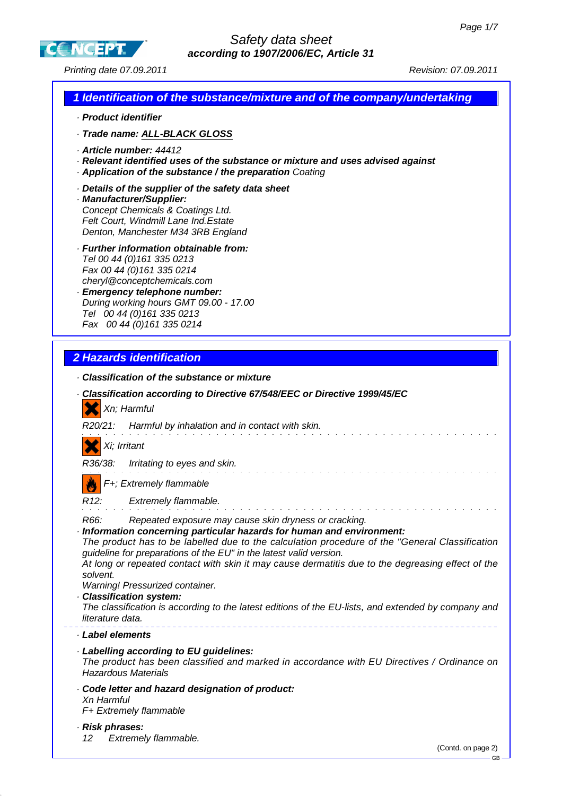**CCNCEPT** 

Printing date 07.09.2011 **Principal Contract Contract Contract Contract Contract Contract Contract Contract Contract Contract Contract Contract Contract Contract Contract Contract Contract Contract Contract Contract Contra** 

| 1 Identification of the substance/mixture and of the company/undertaking                                                                                                                                                                                                                                                                                                                                                                                                                                                                                                                                               |
|------------------------------------------------------------------------------------------------------------------------------------------------------------------------------------------------------------------------------------------------------------------------------------------------------------------------------------------------------------------------------------------------------------------------------------------------------------------------------------------------------------------------------------------------------------------------------------------------------------------------|
| · Product identifier                                                                                                                                                                                                                                                                                                                                                                                                                                                                                                                                                                                                   |
| · Trade name: ALL-BLACK GLOSS                                                                                                                                                                                                                                                                                                                                                                                                                                                                                                                                                                                          |
| Article number: 44412<br>Relevant identified uses of the substance or mixture and uses advised against<br>Application of the substance / the preparation Coating                                                                                                                                                                                                                                                                                                                                                                                                                                                       |
| Details of the supplier of the safety data sheet<br>· Manufacturer/Supplier:<br>Concept Chemicals & Coatings Ltd.<br>Felt Court, Windmill Lane Ind. Estate<br>Denton, Manchester M34 3RB England                                                                                                                                                                                                                                                                                                                                                                                                                       |
| · Further information obtainable from:<br>Tel 00 44 (0) 161 335 0213<br>Fax 00 44 (0) 161 335 0214<br>cheryl@conceptchemicals.com<br>· Emergency telephone number:<br>During working hours GMT 09.00 - 17.00<br>Tel 00 44 (0) 161 335 0213<br>Fax 00 44 (0) 161 335 0214                                                                                                                                                                                                                                                                                                                                               |
| <b>2 Hazards identification</b>                                                                                                                                                                                                                                                                                                                                                                                                                                                                                                                                                                                        |
| Classification of the substance or mixture                                                                                                                                                                                                                                                                                                                                                                                                                                                                                                                                                                             |
| · Classification according to Directive 67/548/EEC or Directive 1999/45/EC<br>Xn; Harmful<br>Harmful by inhalation and in contact with skin.<br>R20/21:                                                                                                                                                                                                                                                                                                                                                                                                                                                                |
|                                                                                                                                                                                                                                                                                                                                                                                                                                                                                                                                                                                                                        |
| Xi; Irritant                                                                                                                                                                                                                                                                                                                                                                                                                                                                                                                                                                                                           |
| R36/38:<br>Irritating to eyes and skin.                                                                                                                                                                                                                                                                                                                                                                                                                                                                                                                                                                                |
| F+; Extremely flammable                                                                                                                                                                                                                                                                                                                                                                                                                                                                                                                                                                                                |
| R <sub>12</sub> :<br>Extremely flammable.                                                                                                                                                                                                                                                                                                                                                                                                                                                                                                                                                                              |
| R66:<br>Repeated exposure may cause skin dryness or cracking.<br>Information concerning particular hazards for human and environment:<br>The product has to be labelled due to the calculation procedure of the "General Classification<br>guideline for preparations of the EU" in the latest valid version.<br>At long or repeated contact with skin it may cause dermatitis due to the degreasing effect of the<br>solvent.<br>Warning! Pressurized container.<br>Classification system:<br>The classification is according to the latest editions of the EU-lists, and extended by company and<br>literature data. |
| · Label elements                                                                                                                                                                                                                                                                                                                                                                                                                                                                                                                                                                                                       |
| · Labelling according to EU guidelines:<br>The product has been classified and marked in accordance with EU Directives / Ordinance on<br><b>Hazardous Materials</b>                                                                                                                                                                                                                                                                                                                                                                                                                                                    |
| Code letter and hazard designation of product:<br>Xn Harmful<br>F+ Extremely flammable                                                                                                                                                                                                                                                                                                                                                                                                                                                                                                                                 |
| · Risk phrases:<br>Extremely flammable.<br>12                                                                                                                                                                                                                                                                                                                                                                                                                                                                                                                                                                          |

 $\overline{\phantom{a}}$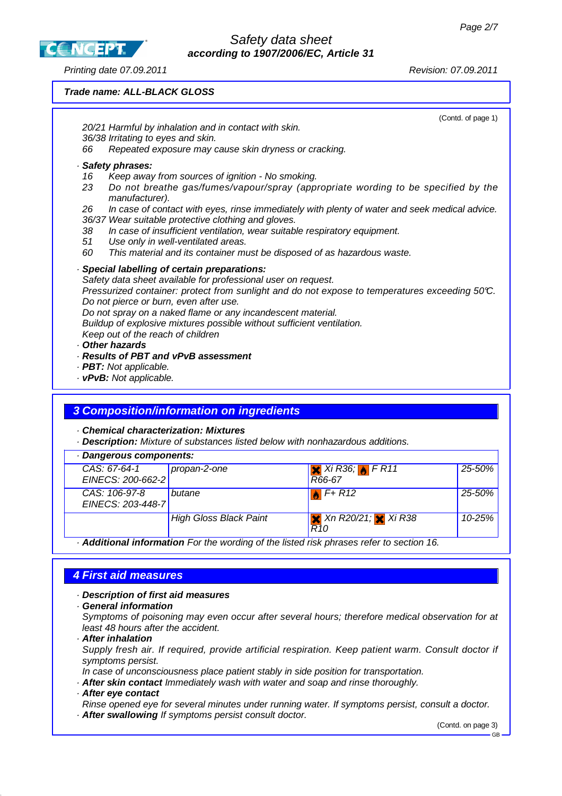**CCNCEPT** 

#### Printing date 07.09.2011 Revision: 07.09.2011

**Trade name: ALL-BLACK GLOSS**

(Contd. of page 1) 20/21 Harmful by inhalation and in contact with skin. 36/38 Irritating to eyes and skin. 66 Repeated exposure may cause skin dryness or cracking. · **Safety phrases:** 16 Keep away from sources of ignition - No smoking. 23 Do not breathe gas/fumes/vapour/spray (appropriate wording to be specified by the manufacturer). 26 In case of contact with eyes, rinse immediately with plenty of water and seek medical advice. 36/37 Wear suitable protective clothing and gloves. 38 In case of insufficient ventilation, wear suitable respiratory equipment. 51 Use only in well-ventilated areas. 60 This material and its container must be disposed of as hazardous waste. · **Special labelling of certain preparations:** Safety data sheet available for professional user on request. Pressurized container: protect from sunlight and do not expose to temperatures exceeding 50°C. Do not pierce or burn, even after use. Do not spray on a naked flame or any incandescent material. Buildup of explosive mixtures possible without sufficient ventilation. Keep out of the reach of children · **Other hazards** · **Results of PBT and vPvB assessment** · **PBT:** Not applicable. · **vPvB:** Not applicable.

Safety data sheet **according to 1907/2006/EC, Article 31**

### **3 Composition/information on ingredients**

· **Chemical characterization: Mixtures**

· **Description:** Mixture of substances listed below with nonhazardous additions.

| · Dangerous components:            |                               |                                                                          |        |
|------------------------------------|-------------------------------|--------------------------------------------------------------------------|--------|
| CAS: 67-64-1<br>EINECS: 200-662-2  | propan-2-one                  | $X$ Xi R36; $F$ F R11<br>R66-67                                          | 25-50% |
| CAS: 106-97-8<br>EINECS: 203-448-7 | butane                        | $F+R12$                                                                  | 25-50% |
|                                    | <b>High Gloss Black Paint</b> | $\mathbf{\times}$ Xn R20/21; $\mathbf{\times}$ Xi R38<br>R <sub>10</sub> | 10-25% |

· **Additional information** For the wording of the listed risk phrases refer to section 16.

### **4 First aid measures**

· **Description of first aid measures**

· **General information**

Symptoms of poisoning may even occur after several hours; therefore medical observation for at least 48 hours after the accident.

· **After inhalation**

Supply fresh air. If required, provide artificial respiration. Keep patient warm. Consult doctor if symptoms persist.

In case of unconsciousness place patient stably in side position for transportation.

- · **After skin contact** Immediately wash with water and soap and rinse thoroughly.
- · **After eye contact**

Rinse opened eye for several minutes under running water. If symptoms persist, consult a doctor.

· **After swallowing** If symptoms persist consult doctor.

(Contd. on page 3)

GB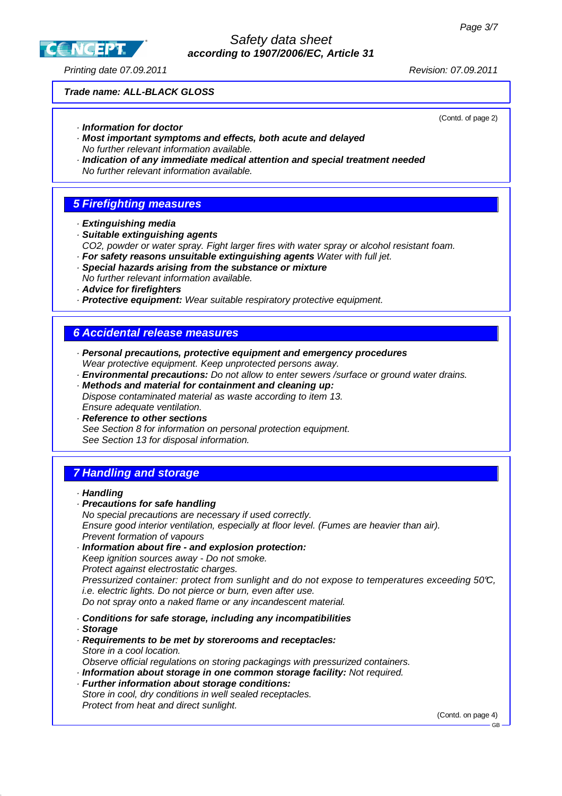**CC NCEPT** 

## Safety data sheet **according to 1907/2006/EC, Article 31**

Printing date 07.09.2011 Revision: 07.09.2011

(Contd. of page 2)

### **Trade name: ALL-BLACK GLOSS**

· **Information for doctor**

- · **Most important symptoms and effects, both acute and delayed** No further relevant information available.
- · **Indication of any immediate medical attention and special treatment needed** No further relevant information available.

# **5 Firefighting measures**

- · **Extinguishing media**
- · **Suitable extinguishing agents** CO2, powder or water spray. Fight larger fires with water spray or alcohol resistant foam.
- · **For safety reasons unsuitable extinguishing agents** Water with full jet.
- · **Special hazards arising from the substance or mixture** No further relevant information available.
- · **Advice for firefighters**
- · **Protective equipment:** Wear suitable respiratory protective equipment.

## **6 Accidental release measures**

- · **Personal precautions, protective equipment and emergency procedures** Wear protective equipment. Keep unprotected persons away.
- · **Environmental precautions:** Do not allow to enter sewers /surface or ground water drains.
- · **Methods and material for containment and cleaning up:** Dispose contaminated material as waste according to item 13. Ensure adequate ventilation.
- · **Reference to other sections** See Section 8 for information on personal protection equipment. See Section 13 for disposal information.

# **7 Handling and storage**

### · **Handling**

- · **Precautions for safe handling** No special precautions are necessary if used correctly. Ensure good interior ventilation, especially at floor level. (Fumes are heavier than air). Prevent formation of vapours
- · **Information about fire and explosion protection:** Keep ignition sources away - Do not smoke. Protect against electrostatic charges. Pressurized container: protect from sunlight and do not expose to temperatures exceeding 50°C, i.e. electric lights. Do not pierce or burn, even after use.
- Do not spray onto a naked flame or any incandescent material.
- · **Conditions for safe storage, including any incompatibilities**
- · **Storage**
- · **Requirements to be met by storerooms and receptacles:** Store in a cool location. Observe official regulations on storing packagings with pressurized containers.
- · **Information about storage in one common storage facility:** Not required.
- · **Further information about storage conditions:** Store in cool, dry conditions in well sealed receptacles. Protect from heat and direct sunlight.

(Contd. on page 4)

GB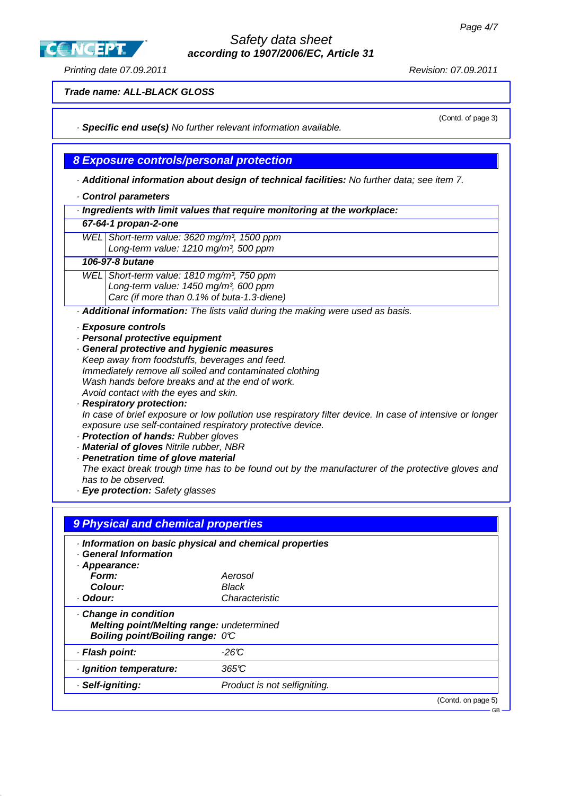**CC NCEPT** 

### Safety data sheet **according to 1907/2006/EC, Article 31**

### Printing date 07.09.2011 Revision: 07.09.2011

(Contd. of page 3)

**Trade name: ALL-BLACK GLOSS**

· **Specific end use(s)** No further relevant information available.

**8 Exposure controls/personal protection**

· **Additional information about design of technical facilities:** No further data; see item 7.

- · **Control parameters**
- · **Ingredients with limit values that require monitoring at the workplace:**

|  | 67-64-1 propan-2-one |
|--|----------------------|
|--|----------------------|

WEL Short-term value: 3620 mg/m<sup>3</sup>, 1500 ppm Long-term value: 1210 mg/m<sup>3</sup>, 500 ppm

### **106-97-8 butane**

WEL Short-term value: 1810 mg/m<sup>3</sup>, 750 ppm Long-term value:  $1450$  mg/m<sup>3</sup>, 600 ppm Carc (if more than 0.1% of buta-1.3-diene)

· **Additional information:** The lists valid during the making were used as basis.

- · **Exposure controls**
- · **Personal protective equipment**
- · **General protective and hygienic measures** Keep away from foodstuffs, beverages and feed. Immediately remove all soiled and contaminated clothing Wash hands before breaks and at the end of work. Avoid contact with the eyes and skin.
- · **Respiratory protection:** In case of brief exposure or low pollution use respiratory filter device. In case of intensive or longer exposure use self-contained respiratory protective device.
- · **Protection of hands:** Rubber gloves
- · **Material of gloves** Nitrile rubber, NBR
- · **Penetration time of glove material**
- The exact break trough time has to be found out by the manufacturer of the protective gloves and has to be observed.
- · **Eye protection:** Safety glasses

| <b>General Information</b>                                                    | · Information on basic physical and chemical properties |  |
|-------------------------------------------------------------------------------|---------------------------------------------------------|--|
| · Appearance:                                                                 |                                                         |  |
| Form:                                                                         | Aerosol                                                 |  |
| Colour:                                                                       | Black                                                   |  |
| · Odour:                                                                      | Characteristic                                          |  |
|                                                                               |                                                         |  |
| Melting point/Melting range: undetermined<br>Boiling point/Boiling range: 0°C |                                                         |  |
|                                                                               | $-26C$                                                  |  |
| Change in condition<br>· Flash point:<br>· Ignition temperature:              | 365C                                                    |  |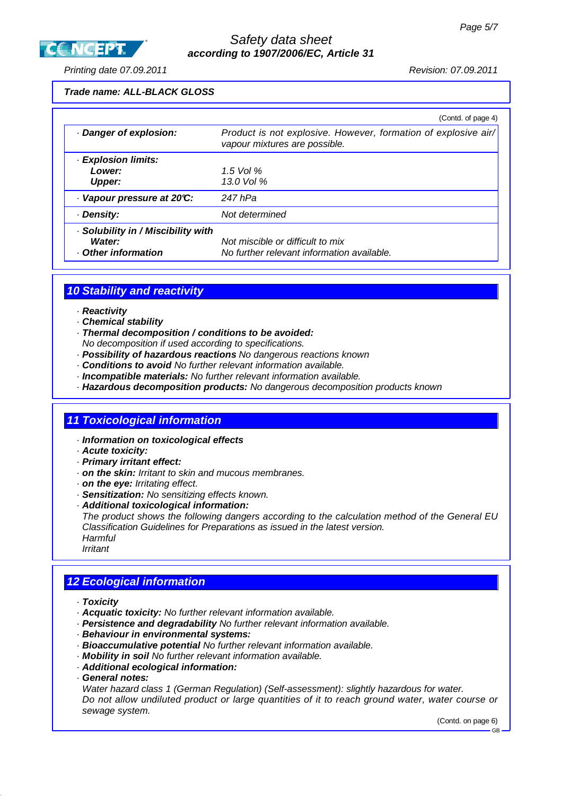

### Safety data sheet **according to 1907/2006/EC, Article 31**

Printing date 07.09.2011 Revision: 07.09.2011

#### **Trade name: ALL-BLACK GLOSS**

|                                                                 | (Contd. of page 4)                                                                              |
|-----------------------------------------------------------------|-------------------------------------------------------------------------------------------------|
| Danger of explosion:                                            | Product is not explosive. However, formation of explosive air/<br>vapour mixtures are possible. |
| · Explosion limits:                                             |                                                                                                 |
| Lower:                                                          | 1.5 Vol $%$                                                                                     |
| <b>Upper:</b>                                                   | 13.0 Vol $%$                                                                                    |
| Vapour pressure at 20°C:                                        | 247 hPa                                                                                         |
| · Density:                                                      | Not determined                                                                                  |
| Solubility in / Miscibility with<br>Water:<br>Other information | Not miscible or difficult to mix<br>No further relevant information available.                  |

## **10 Stability and reactivity**

- · **Reactivity**
- · **Chemical stability**
- · **Thermal decomposition / conditions to be avoided:**
- No decomposition if used according to specifications.
- · **Possibility of hazardous reactions** No dangerous reactions known
- · **Conditions to avoid** No further relevant information available.
- · **Incompatible materials:** No further relevant information available.
- · **Hazardous decomposition products:** No dangerous decomposition products known

#### **11 Toxicological information**

- · **Information on toxicological effects**
- · **Acute toxicity:**
- · **Primary irritant effect:**
- · **on the skin:** Irritant to skin and mucous membranes.
- · **on the eye:** Irritating effect.
- · **Sensitization:** No sensitizing effects known.
- · **Additional toxicological information:**

The product shows the following dangers according to the calculation method of the General EU Classification Guidelines for Preparations as issued in the latest version. **Harmful** 

Irritant

## **12 Ecological information**

- · **Toxicity**
- · **Acquatic toxicity:** No further relevant information available.
- · **Persistence and degradability** No further relevant information available.
- · **Behaviour in environmental systems:**
- · **Bioaccumulative potential** No further relevant information available.
- · **Mobility in soil** No further relevant information available.
- · **Additional ecological information:**
- · **General notes:**

Water hazard class 1 (German Regulation) (Self-assessment): slightly hazardous for water. Do not allow undiluted product or large quantities of it to reach ground water, water course or sewage system.

(Contd. on page 6)

GB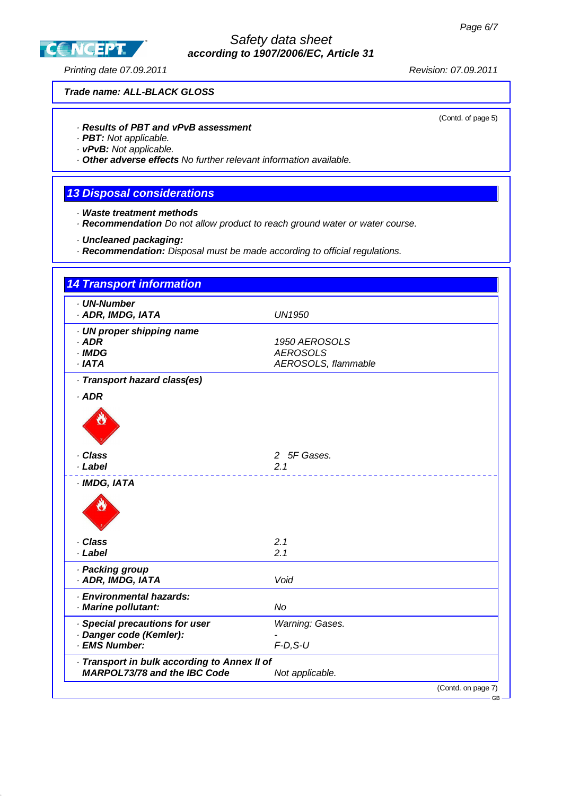

## Safety data sheet **according to 1907/2006/EC, Article 31**

Printing date 07.09.2011 **Printing date 07.09.2011** 

(Contd. of page 5)

### **Trade name: ALL-BLACK GLOSS**

### · **Results of PBT and vPvB assessment**

· **PBT:** Not applicable.

· **vPvB:** Not applicable.

· **Other adverse effects** No further relevant information available.

## **13 Disposal considerations**

- · **Waste treatment methods**
- · **Recommendation** Do not allow product to reach ground water or water course.
- · **Uncleaned packaging:**
- · **Recommendation:** Disposal must be made according to official regulations.

| · UN-Number<br>· ADR, IMDG, IATA             | <b>UN1950</b>       |
|----------------------------------------------|---------------------|
| · UN proper shipping name                    |                     |
| $·$ ADR                                      | 1950 AEROSOLS       |
| · IMDG                                       | <b>AEROSOLS</b>     |
| $·$ IATA                                     | AEROSOLS, flammable |
| · Transport hazard class(es)                 |                     |
| $·$ ADR                                      |                     |
|                                              |                     |
| · Class                                      | 2 5F Gases.         |
| · Label                                      | 2.1                 |
| · IMDG, IATA                                 |                     |
|                                              |                     |
| · Class                                      | 2.1                 |
| · Label                                      | 2.1                 |
| · Packing group                              |                     |
| · ADR, IMDG, IATA                            | Void                |
| · Environmental hazards:                     |                     |
| · Marine pollutant:                          | <b>No</b>           |
| · Special precautions for user               | Warning: Gases.     |
| Danger code (Kemler):                        |                     |
| · EMS Number:                                | $F-D, S-U$          |
| · Transport in bulk according to Annex II of |                     |
| <b>MARPOL73/78 and the IBC Code</b>          | Not applicable.     |